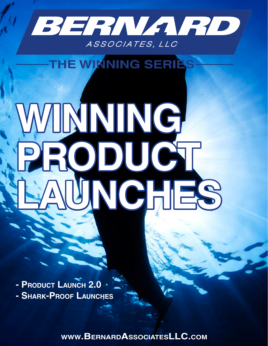

## THE WINNING SERIES

# WINNING **PRODUCT LAUNCHES**

**- Product Launch 2.0 - Shark-Proof Launches**

**www.BernardAssociatesLLC.com**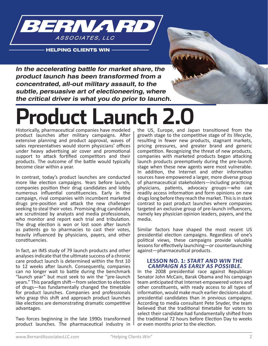

**HELPING CLIENTS WIN** 



**In the accelerating battle for market share, the product launch has been transformed from a concentrated, all-out military assault, to the subtle, persuasive art of electioneering, where the critical driver is what you do prior to launch.**

## **Product Launch 2.0**

Historically, pharmaceutical companies have modeled product launches after military campaigns. After extensive planning and product approval, waves of sales representatives would storm physicians' offices under heavy advertising air cover and promotional support to attack fortified competitors and their products. The outcome of the battle would typically become clear within a year.

In contrast, today's product launches are conducted more like election campaigns. Years before launch, companies position their drug candidates and lobby numerous influential constituencies. Early in the campaign, rival companies with incumbent marketed drugs pre-position and attack the new challenger seeking to steal their votes. Promising drug candidates are scrutinized by analysts and media professionals, who monitor and report each trial and tribulation. The drug election is won or lost soon after launch as patients go to pharmacies to cast their votes, heavily influenced by physicians, payers, and other constituencies.

In fact, an IMS study of 79 launch products and other analyses indicate that the ultimate success of a chronic care product launch is determined within the first 10 to 12 weeks after launch. Consequently, companies can no longer wait to battle during the benchmark "launch year" but must seek to win the "pre-launch years." This paradigm shift—from selection to election of drugs—has fundamentally changed the timetable for product launches. Companies and professionals who grasp this shift and approach product launches like elections are demonstrating dramatic competitive advantages.

Two forces beginning in the late 1990s transformed product launches. The pharmaceutical industry in

the US, Europe, and Japan transitioned from the growth stage to the competitive stage of its lifecycle, resulting in fewer new products, stagnant markets, pricing pressures, and greater brand and generic competition. Recognizing the threat of new products, companies with marketed products began attacking launch products preemptively during the pre-launch stage when these new agents were most vulnerable. In addition, the Internet and other information sources have empowered a larger, more diverse group of pharmaceutical stakeholders—including practicing physicians, patients, advocacy groups—who can readily access information and form opinions on new drugs long before they reach the market. This is in stark contrast to past product launches where companies targeted an exclusive group of pre-launch influencers, namely key physician opinion leaders, payers, and the media.

Similar factors have shaped the most recent US presidential election campaigns. Regardless of one's political views, these campaigns provide valuable lessons for effectively launching—or counterlaunching against—pharmaceutical products.

#### **LESSON NO. 1: START AND WIN THE CAMPAIGN AS EARLY AS POSSIBLE.**

In the 2008 presidential race against Republican Senator John McCain, Barak Obama and his campaign team anticipated that Internet-empowered voters and other constituents, with ready access to all types of information, would make much earlier decisions about presidential candidates than in previous campaigns. According to media consultant Pete Snyder, the team believed that the traditional timetable for voters to select their candidate had fundamentally shifted from the traditional 72 hours before Election Day to weeks or even months prior to the election.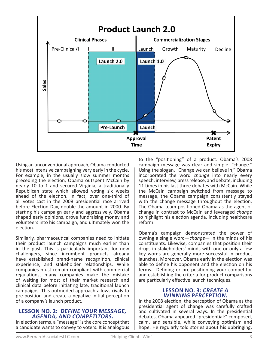

Using an unconventional approach, Obama conducted his most intensive campaigning very early in the cycle. For example, in the usually slow summer months preceding the election, Obama outspent McCain by nearly 10 to 1 and secured Virginia, a traditionally Republican state which allowed voting six weeks ahead of the election. In fact, over one-third of all votes cast in the 2008 presidential race arrived before Election Day, double the amount in 2000. By starting his campaign early and aggressively, Obama shaped early opinions, drove fundraising money and volunteers into his campaign, and ultimately won the election.

Similarly, pharmaceutical companies need to initiate their product launch campaigns much earlier than in the past. This is particularly important for new challengers, since incumbent products already have established brand-name recognition, clinical experience, and stakeholder relationships. While companies must remain compliant with commercial regulations, many companies make the mistake of waiting for most of their market research and clinical data before initiating late, traditional launch campaigns. This outmoded approach allows rivals to pre-position and create a negative initial perception of a company's launch product.

#### **LESSON NO. 2: DEFINE YOUR MESSAGE, AGENDA, AND COMPETITORS.**

In election terms, a "message" is the core concept that a candidate wants to convey to voters. It is analogous to the "positioning" of a product. Obama's 2008 campaign message was clear and simple: "change." Using the slogan, "Change we can believe in," Obama incorporated the word *change* into nearly every speech, interview, press release, and debate, including 11 times in his last three debates with McCain. While the McCain campaign switched from message to message, the Obama campaign consistently stayed with the change message throughout the election. The Obama team positioned Obama as the agent of change in contrast to McCain and leveraged *change* to highlight his election agenda, including healthcare reform.

Obama's campaign demonstrated the power of owning a single word—*change*— in the minds of his constituents. Likewise, companies that position their drugs in stakeholders' minds with one or only a few key words are generally more successful in product launches. Moreover, Obama early in the election was able to define his opponent and the election on his terms. Defining or pre-positioning your competitor and establishing the criteria for product comparisons are particularly effective launch techniques.

#### **LESSON NO. 3: CREATE A WINNING PERCEPTION.**

In the 2008 election, the perception of Obama as the presidential agent of change was carefully crafted and cultivated in several ways. In the presidential debates, Obama appeared "presidential:" composed, calm, and sensible, while conveying optimism and hope. He regularly told stories about his upbringing,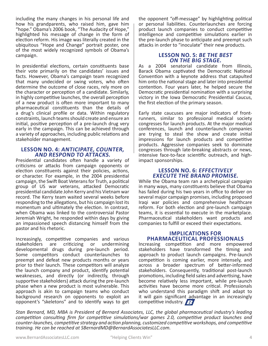including the many changes in his personal life and how his grandparents, who raised him, gave him "hope." Obama's 2006 book, "The Audacity of Hope," highlighted his message of change in the form of election reform. His image was literally created in the ubiquitous "Hope and Change" portrait poster, one of the most widely recognized symbols of Obama's campaign.

In presidential elections, certain constituents base their vote primarily on the candidates' issues and facts. However, Obama's campaign team recognized that many undecided or swing voters, who often determine the outcome of close races, rely more on the character or perception of a candidate. Similarly, in highly competitive launches, the overall perception of a new product is often more important to many pharmaceutical constituents than the details of a drug's clinical profile or data. Within regulatory constraints, launch teams should create and ensure an initial, positive perception of a pre-launch drug very early in the campaign. This can be achieved through a variety of approaches, including public relations and stakeholder management.

#### **LESSON NO. 4: ANTICIPATE, COUNTER, AND RESPOND TO ATTACKS.**

Presidential candidates often handle a variety of criticisms or attacks from campaign opponents or election constituents against their policies, actions, or character. For example, in the 2004 presidential campaign, the Swift Boat Veterans for Truth, a political group of US war veterans, attacked Democratic presidential candidate John Kerry and his Vietnam war record. The Kerry team waited several weeks before responding to the allegations, but his campaign lost its momentum and ultimately the election. In contrast, when Obama was linked to the controversial Pastor Jeremiah Wright, he responded within days by giving an impassioned speech distancing himself from the pastor and his rhetoric.

Increasingly, competitive companies and various stakeholders are criticizing or undermining developmental drugs during pre-launch period. Some competitors conduct counterlaunches to preempt and defeat new products months or years prior to their launch. These competitors will analyze the launch company and product, identify potential weaknesses, and directly (or indirectly, through supportive stakeholders) attack during the pre-launch phase when a new product is most vulnerable. This approach is akin to campaign teams who conduct background research on opponents to exploit an opponent's "skeletons" and to identify ways to get the opponent "off-message" by highlighting political or personal liabilities. Counterlaunches are forcing product launch companies to conduct competitive intelligence and competitive simulations earlier in the pre-launch phase to anticipate and preempt such attacks in order to "inoculate" their new products.

#### **LESSON NO. 5: BE THE BEST ON THE BIG STAGE.**

As a 2004 senatorial candidate from Illinois, Barack Obama captivated the Democratic National Convention with a keynote address that catapulted him onto the national stage and later into presidential contention. Four years later, he helped secure the Democratic presidential nomination with a surprising victory in the Iowa Democratic Presidential Caucus, the first election of the primary season.

Early state caucuses are major indicators of frontrunners, similar to professional medical society congresses for launch products. At the major medical conferences, launch and counterlaunch companies are trying to steal the show and create initial impressions for launch products and competitive products. Aggressive companies seek to dominate congresses through late-breaking abstracts or news, intensive face-to-face scientific outreach, and highimpact sponsorships.

#### **LESSON NO. 6: EFFECTIVELY EXECUTE THE BRAND PROMISE.**

While the Obama team ran a archetypical campaign in many ways, many constituents believe that Obama has failed during his two years in office to deliver on several major campaign promises, including proposed Iraqi war policies and comprehensive healthcare reform. For both election and pre-launch campaign teams, it is essential to execute in the marketplace. Pharmaceutical stakeholders want products and companies to fulfill or exceed their expectations.

#### **IMPLICATIONS FOR PHARMACEUTICAL PROFESSIONALS**

Increasing competition and more empowered stakeholders have transformed the timing and approach to product launch campaigns. Pre-launch competition is coming earlier, more intensely, and across a broader spectrum of better-informed stakeholders. Consequently, traditional post-launch promotions, including field sales and advertising, have become relatively less important, while pre-launch activities have become more critical. Professionals who understand this paradigm shift and adapt to it will gain significant advantage in an increasingly competitive industry.  $\mathcal{L}$ 

*Stan Bernard, MD, MBA is President of Bernard Associates, LLC, the global pharmaceutical industry's leading competition consulting firm for competitive simulations/war games 2.0, competitive product launches and counter-launches, competitive strategy and action planning, customized competitive workshops, and competitive training. He can be reached at SBernardMD@BernardAssociatesLLC.com.*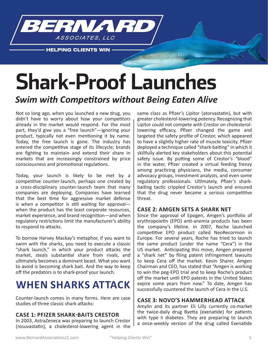

**HELPING CLIENTS WIN** 

## **Shark-Proof Launches**

#### *Swim with Competitors without Being Eaten Alive*

Not so long ago, when you launched a new drug, you didn't have to worry about how your competitors already in the market would respond. For the most part, they'd give you a "free launch"—ignoring your product, typically not even mentioning it by name. Today, the free launch is gone. The industry has entered the competitive stage of its lifecycle; brands are fighting to maintain and extend their share in markets that are increasingly constrained by price consciousness and promotional regulations.

Today, your launch is likely to be met by a competitive counter-launch, perhaps one created by a cross-disciplinary counter-launch team that many companies are deploying. Companies have learned that the best time for aggressive market defense is when a competitor is still waiting for approval when the product has the least corporate resources, market experience, and brand recognition—and when regulatory restrictions limit the manufacturer's ability to respond to attacks.

To borrow Harvey Mackay's metaphor, if you want to swim with the sharks, you need to execute a classic "shark launch," in which your product attacks the market, steals substantial share from rivals, and ultimately becomes a dominant beast. What you want to avoid is becoming shark bait. And the way to keep off the predators is to shark-proof your launch.

### **WHEN SHARKS ATTACK**

Counter-launch comes in many forms. Here are case studies of three classic shark attacks:

#### **CASE 1: PFIZER SHARK-BAITS CRESTOR**

In 2003, AstraZeneca was preparing to launch Crestor (rosuvastatin), a cholesterol-lowering agent in the

same class as Pfizer's Lipitor (atorvastatin), but with greater cholesterol-lowering potency. Recognizing that Lipitor could not compete with Crestor on cholesterollowering efficacy, Pfizer changed the game and targeted the safety profile of Crestor, which appeared to have a slightly higher rate of muscle toxicity. Pfizer deployed a technique called "shark-baiting" in which it skillfully alerted key stakeholders about this potential safety issue. By putting some of Crestor's "blood" in the water, Pfizer created a virtual feeding frenzy among practicing physicians, the media, consumer advocacy groups, investment analysts, and even some regulatory professionals. Ultimately, Pfizer's sharkbaiting tactic crippled Crestor's launch and ensured that the drug never became a serious competitive threat.

#### **CASE 2: AMGEN SETS A SHARK NET**

Since the approval of Epogen, Amgen's portfolio of erythropoietin (EPO) anti-anemia products has been the company's lifeline. In 2007, Roche launched competitive EPO product called NeoRecormon in Europe. For several years, Roche has tried to launch the same product (under the name "Cera") in the US market. Anticipating this move, Amgen prepared a "shark net" by filing patent infringement lawsuits to keep Cera off the market. Kevin Sharer, Amgen Chairman and CEO, has stated that "Amgen is working to win the peg-EPO trial and to keep Roche's product off the market until EPO patents in the United States expire some years from now." To date, Amgen has successfully countered the launch of Cera in the U.S.

#### **CASE 3: NOVO'S HAMMERHEAD ATTACK**

Amylin and its partner Eli Lilly currently co-market the twice-daily drug Byetta (exenatide) for patients with type II diabetes. They are preparing to launch a once-weekly version of the drug called Exenatide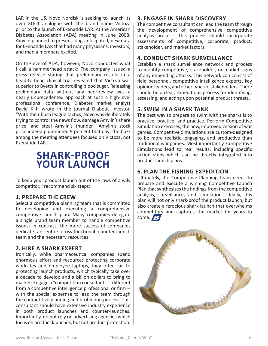LAR in the US. Novo Nordisk is seeking to launch its own GLP-1 analogue with the brand name Victoza prior to the launch of Exenatide LAR. At the American Diabetes Association (ADA) meeting in June 2008, Amylin planned to present long-anticipated, new data for Exenatide LAR that had many physicians, investors, and media members excited.

On the eve of ADA, however, Novo conducted what I call a hammerhead attack: The company issued a press release stating that preliminary results in a head-to-head clinical trial revealed that Victoza was superior to Byetta in controlling blood sugar. Releasing preliminary data without any peer-review was a nearly unprecedented approach at such a high-level professional conference. Diabetes market analyst David Kliff wrote in the journal Diabetic Investor, "With their bush league tactics, Novo was deliberately trying to control the news flow, damage Amylin's share price, and steal Amylin's thunder." Amylin's stock price indeed plummeted 9 percent that day; the buzz among the meeting attendees focused on Victoza, not Exenatide LAR.

### **SHARK-PROOF YOUR LAUNCH**

To keep your product launch out of the jaws of a wily competitor, I recommend six steps:

#### **1. PREPARE THE CREW**

Select a competitive planning team that is committed to developing and executing a comprehensive competitive launch plan. Many companies delegate a single brand team member to handle competitive issues; in contrast, the more successful companies dedicate an entire cross-functional counter-launch team and the necessary resources.

#### **2. HIRE A SHARK EXPERT**

Ironically, while pharmaceutical companies spend enormous effort and resources protecting corporate worksites and employee laptops, they often fail to protecting launch products, which typically take over a decade to develop and a billion dollars to bring to market. Engage a "competition consultant" -- different from a competitive intelligence professional or firm - with the special expertise to lead the team through the competitive planning and protection process. This consultant should have extensive industry experience in both product launches and counter-launches. Importantly, do not rely on advertising agencies which focus on product launches, but not product protection.

#### **3. ENGAGE IN SHARK DISCOVERY**

The competitive consultant can lead the team through the development of comprehensive competitive analysis process. This process should incorporate assessments of competitive, corporate, product, stakeholder, and market factors.

#### **4. CONDUCT SHARK SURVEILLANCE**

Establish a shark surveillance network and process to identify competitive, stakeholder, or market signs of any impending attacks. This network can consist of field personnel, competitive intelligence experts, key opinion leaders, and other types of stakeholders. There should be a clear, expeditious process for identifying, assessing, and acting upon potential product threats.

#### **5. SWIM IN A SHARK TANK**

The best way to prepare to swim with the sharks is to practice, practice, and practice. Perform Competitive Simulation exercises, the new, improved version of war games. Competitive Simulations are custom-designed to be more realistic, engaging, and productive than traditional war games. Most importantly, Competitive Simulations lead to real results, including specific action steps which can be directly integrated into product launch plans.

#### **6. PLAN THE FISHING EXPEDITION**

Ultimately, the Competitive Planning Team needs to prepare and execute a winning Competitive Launch Plan that synthesizes the findings from the competitive analysis, surveillance, and simulation. Ideally, this plan will not only shark-proof the product launch, but also create a ferocious shark launch that overwhelms competitors and captures the market for years to come.  $\sqrt{B}$